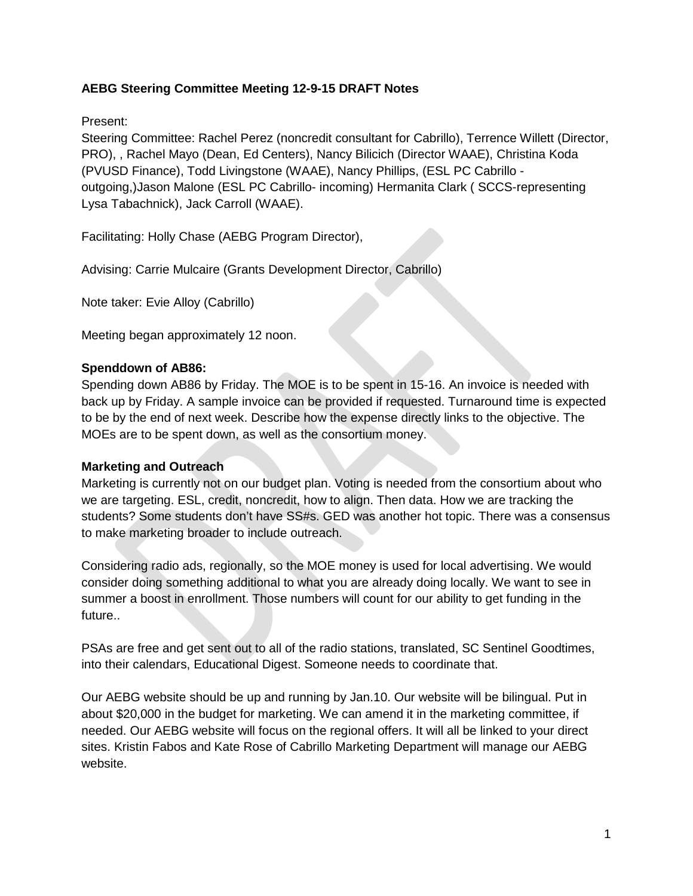# **AEBG Steering Committee Meeting 12-9-15 DRAFT Notes**

Present:

Steering Committee: Rachel Perez (noncredit consultant for Cabrillo), Terrence Willett (Director, PRO), , Rachel Mayo (Dean, Ed Centers), Nancy Bilicich (Director WAAE), Christina Koda (PVUSD Finance), Todd Livingstone (WAAE), Nancy Phillips, (ESL PC Cabrillo outgoing,)Jason Malone (ESL PC Cabrillo- incoming) Hermanita Clark ( SCCS-representing Lysa Tabachnick), Jack Carroll (WAAE).

Facilitating: Holly Chase (AEBG Program Director),

Advising: Carrie Mulcaire (Grants Development Director, Cabrillo)

Note taker: Evie Alloy (Cabrillo)

Meeting began approximately 12 noon.

### **Spenddown of AB86:**

Spending down AB86 by Friday. The MOE is to be spent in 15-16. An invoice is needed with back up by Friday. A sample invoice can be provided if requested. Turnaround time is expected to be by the end of next week. Describe how the expense directly links to the objective. The MOEs are to be spent down, as well as the consortium money.

### **Marketing and Outreach**

Marketing is currently not on our budget plan. Voting is needed from the consortium about who we are targeting. ESL, credit, noncredit, how to align. Then data. How we are tracking the students? Some students don't have SS#s. GED was another hot topic. There was a consensus to make marketing broader to include outreach.

Considering radio ads, regionally, so the MOE money is used for local advertising. We would consider doing something additional to what you are already doing locally. We want to see in summer a boost in enrollment. Those numbers will count for our ability to get funding in the future..

PSAs are free and get sent out to all of the radio stations, translated, SC Sentinel Goodtimes, into their calendars, Educational Digest. Someone needs to coordinate that.

Our AEBG website should be up and running by Jan.10. Our website will be bilingual. Put in about \$20,000 in the budget for marketing. We can amend it in the marketing committee, if needed. Our AEBG website will focus on the regional offers. It will all be linked to your direct sites. Kristin Fabos and Kate Rose of Cabrillo Marketing Department will manage our AEBG website.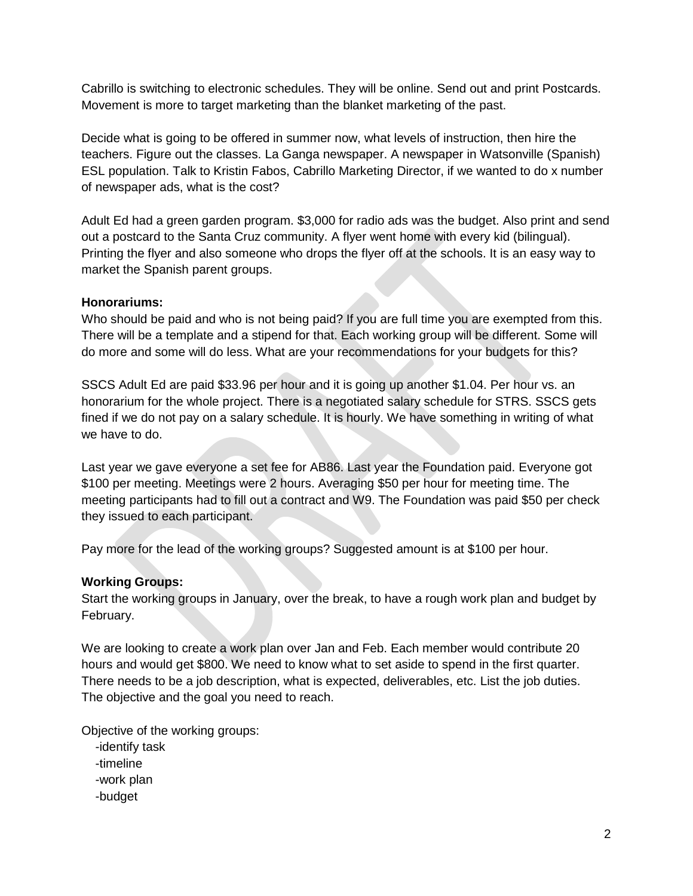Cabrillo is switching to electronic schedules. They will be online. Send out and print Postcards. Movement is more to target marketing than the blanket marketing of the past.

Decide what is going to be offered in summer now, what levels of instruction, then hire the teachers. Figure out the classes. La Ganga newspaper. A newspaper in Watsonville (Spanish) ESL population. Talk to Kristin Fabos, Cabrillo Marketing Director, if we wanted to do x number of newspaper ads, what is the cost?

Adult Ed had a green garden program. \$3,000 for radio ads was the budget. Also print and send out a postcard to the Santa Cruz community. A flyer went home with every kid (bilingual). Printing the flyer and also someone who drops the flyer off at the schools. It is an easy way to market the Spanish parent groups.

#### **Honorariums:**

Who should be paid and who is not being paid? If you are full time you are exempted from this. There will be a template and a stipend for that. Each working group will be different. Some will do more and some will do less. What are your recommendations for your budgets for this?

SSCS Adult Ed are paid \$33.96 per hour and it is going up another \$1.04. Per hour vs. an honorarium for the whole project. There is a negotiated salary schedule for STRS. SSCS gets fined if we do not pay on a salary schedule. It is hourly. We have something in writing of what we have to do.

Last year we gave everyone a set fee for AB86. Last year the Foundation paid. Everyone got \$100 per meeting. Meetings were 2 hours. Averaging \$50 per hour for meeting time. The meeting participants had to fill out a contract and W9. The Foundation was paid \$50 per check they issued to each participant.

Pay more for the lead of the working groups? Suggested amount is at \$100 per hour.

### **Working Groups:**

Start the working groups in January, over the break, to have a rough work plan and budget by February.

We are looking to create a work plan over Jan and Feb. Each member would contribute 20 hours and would get \$800. We need to know what to set aside to spend in the first quarter. There needs to be a job description, what is expected, deliverables, etc. List the job duties. The objective and the goal you need to reach.

Objective of the working groups:

- -identify task
- -timeline
- -work plan
- -budget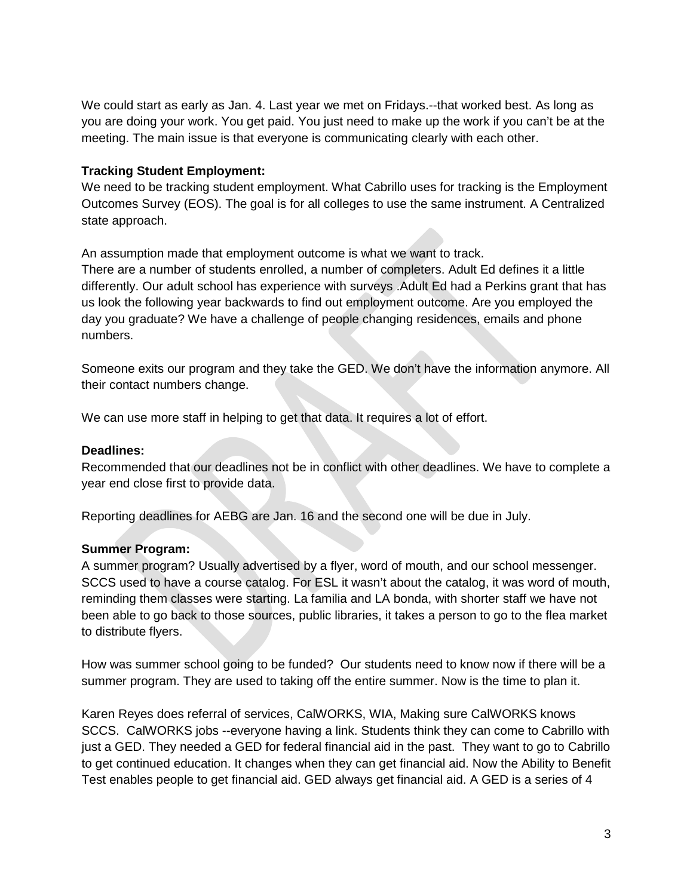We could start as early as Jan. 4. Last year we met on Fridays.--that worked best. As long as you are doing your work. You get paid. You just need to make up the work if you can't be at the meeting. The main issue is that everyone is communicating clearly with each other.

### **Tracking Student Employment:**

We need to be tracking student employment. What Cabrillo uses for tracking is the Employment Outcomes Survey (EOS). The goal is for all colleges to use the same instrument. A Centralized state approach.

An assumption made that employment outcome is what we want to track.

There are a number of students enrolled, a number of completers. Adult Ed defines it a little differently. Our adult school has experience with surveys .Adult Ed had a Perkins grant that has us look the following year backwards to find out employment outcome. Are you employed the day you graduate? We have a challenge of people changing residences, emails and phone numbers.

Someone exits our program and they take the GED. We don't have the information anymore. All their contact numbers change.

We can use more staff in helping to get that data. It requires a lot of effort.

### **Deadlines:**

Recommended that our deadlines not be in conflict with other deadlines. We have to complete a year end close first to provide data.

Reporting deadlines for AEBG are Jan. 16 and the second one will be due in July.

# **Summer Program:**

A summer program? Usually advertised by a flyer, word of mouth, and our school messenger. SCCS used to have a course catalog. For ESL it wasn't about the catalog, it was word of mouth, reminding them classes were starting. La familia and LA bonda, with shorter staff we have not been able to go back to those sources, public libraries, it takes a person to go to the flea market to distribute flyers.

How was summer school going to be funded? Our students need to know now if there will be a summer program. They are used to taking off the entire summer. Now is the time to plan it.

Karen Reyes does referral of services, CalWORKS, WIA, Making sure CalWORKS knows SCCS. CalWORKS jobs --everyone having a link. Students think they can come to Cabrillo with just a GED. They needed a GED for federal financial aid in the past. They want to go to Cabrillo to get continued education. It changes when they can get financial aid. Now the Ability to Benefit Test enables people to get financial aid. GED always get financial aid. A GED is a series of 4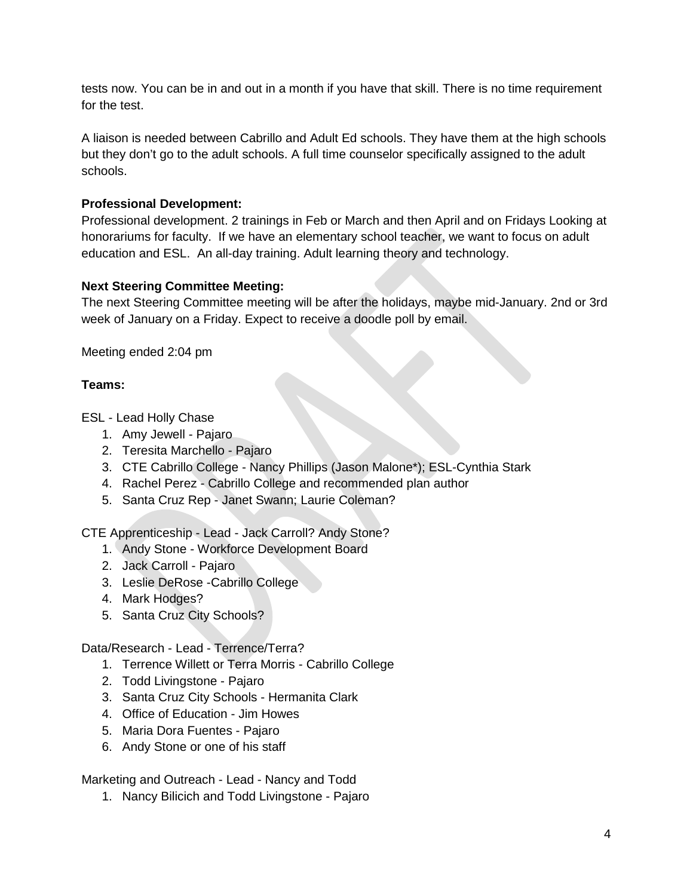tests now. You can be in and out in a month if you have that skill. There is no time requirement for the test.

A liaison is needed between Cabrillo and Adult Ed schools. They have them at the high schools but they don't go to the adult schools. A full time counselor specifically assigned to the adult schools.

## **Professional Development:**

Professional development. 2 trainings in Feb or March and then April and on Fridays Looking at honorariums for faculty. If we have an elementary school teacher, we want to focus on adult education and ESL. An all-day training. Adult learning theory and technology.

### **Next Steering Committee Meeting:**

The next Steering Committee meeting will be after the holidays, maybe mid-January. 2nd or 3rd week of January on a Friday. Expect to receive a doodle poll by email.

Meeting ended 2:04 pm

# **Teams:**

ESL - Lead Holly Chase

- 1. Amy Jewell Pajaro
- 2. Teresita Marchello Pajaro
- 3. CTE Cabrillo College Nancy Phillips (Jason Malone\*); ESL-Cynthia Stark
- 4. Rachel Perez Cabrillo College and recommended plan author
- 5. Santa Cruz Rep Janet Swann; Laurie Coleman?

CTE Apprenticeship - Lead - Jack Carroll? Andy Stone?

- 1. Andy Stone Workforce Development Board
- 2. Jack Carroll Pajaro
- 3. Leslie DeRose -Cabrillo College
- 4. Mark Hodges?
- 5. Santa Cruz City Schools?

Data/Research - Lead - Terrence/Terra?

- 1. Terrence Willett or Terra Morris Cabrillo College
- 2. Todd Livingstone Pajaro
- 3. Santa Cruz City Schools Hermanita Clark
- 4. Office of Education Jim Howes
- 5. Maria Dora Fuentes Pajaro
- 6. Andy Stone or one of his staff

Marketing and Outreach - Lead - Nancy and Todd

1. Nancy Bilicich and Todd Livingstone - Pajaro